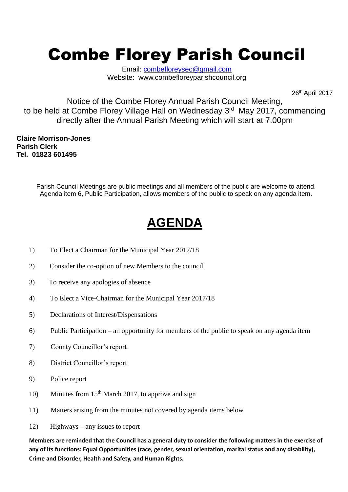## Combe Florey Parish Council

Email: [combefloreysec@gmail.com](mailto:combefloreysec@gmail.com) Website: www.combefloreyparishcouncil.org

26th April 2017

Notice of the Combe Florey Annual Parish Council Meeting, to be held at Combe Florey Village Hall on Wednesday 3<sup>rd</sup> May 2017, commencing directly after the Annual Parish Meeting which will start at 7.00pm

**Claire Morrison-Jones Parish Clerk Tel. 01823 601495**

> Parish Council Meetings are public meetings and all members of the public are welcome to attend. Agenda item 6, Public Participation, allows members of the public to speak on any agenda item.

## **AGENDA**

- 1) To Elect a Chairman for the Municipal Year 2017/18
- 2) Consider the co-option of new Members to the council
- 3) To receive any apologies of absence
- 4) To Elect a Vice-Chairman for the Municipal Year 2017/18
- 5) Declarations of Interest/Dispensations
- 6) Public Participation an opportunity for members of the public to speak on any agenda item
- 7) County Councillor's report
- 8) District Councillor's report
- 9) Police report
- 10) Minutes from  $15<sup>th</sup>$  March 2017, to approve and sign
- 11) Matters arising from the minutes not covered by agenda items below
- 12) Highways any issues to report

**Members are reminded that the Council has a general duty to consider the following matters in the exercise of any of its functions: Equal Opportunities (race, gender, sexual orientation, marital status and any disability), Crime and Disorder, Health and Safety, and Human Rights.**